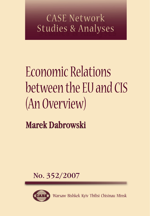## **CASE Network Studies & Analyses**

# Economic Relations between the EU and CIS (An Overview)

**Marek Dabrowski** 

No. 352/2007



Warsaw Bishkek Kyiv Tbilisi Chisinau Minsk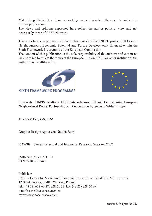Materials published here have a working paper character. They can be subject to further publication.

The views and opinions expressed here reflect the author point of view and not necessarily those of CASE Network.

This work has been prepared within the framework of the ENEPO project (EU Eastern Neighbourhood: Economic Potential and Future Development), financed within the Sixth Framework Programme of the European Commission

The content of this publication is the sole responsibility of the authors and can in no way be taken to reflect the views of the European Union, CASE or other institutions the author may be affiliated to.





Keywords: **EU-CIS relations, EU-Russia relations, EU and Central Asia, European Neighborhood Policy, Partnership and Cooperation Agreement, Wider Europe**

Jel codes: *F15, F21, F22* 

Graphic Design: Agnieszka Natalia Bury

© CASE – Center for Social and Economic Research, Warsaw, 2007

ISBN 978-83-7178-449-1 EAN 9788371784491

Publisher: CASE – Center for Social and Economic Research on behalf of CASE Network 12 Sienkiewicza, 00-010 Warsaw, Poland tel.: (48 22) 622 66 27, 828 61 33, fax: (48 22) 828 60 69 e-mail: case@case-research.eu http://www.case-research.eu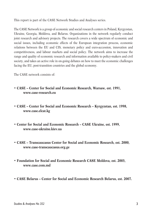This report is part of the CASE Network Studies and Analyses series.

The CASE Network is a group of economic and social research centers in Poland, Kyrgyzstan, Ukraine, Georgia, Moldova, and Belarus. Organizations in the network regularly conduct joint research and advisory projects. The research covers a wide spectrum of economic and social issues, including economic effects of the European integration process, economic relations between the EU and CIS, monetary policy and euro-accession, innovation and competitiveness, and labour markets and social policy. The network aims to increase the range and quality of economic research and information available to policy-makers and civil society, and takes an active role in on-going debates on how to meet the economic challenges facing the EU, post-transition countries and the global economy.

The CASE network consists of:

- **CASE Center for Social and Economic Research, Warsaw, est. 1991, www.case-research.eu**
- **CASE Center for Social and Economic Research Kyrgyzstan, est. 1998, www.case.elcat.kg**
- **Center for Social and Economic Research CASE Ukraine, est. 1999, www.case-ukraine.kiev.ua**
- **CASE Transcaucasus Center for Social and Economic Research, est. 2000, www.case-transcaucasus.org.ge**
- **Foundation for Social and Economic Research CASE Moldova, est. 2003, www.case.com.md**
- **CASE Belarus Center for Social and Economic Research Belarus, est. 2007.**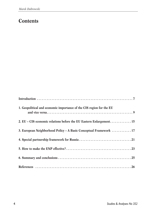#### **Contents**

| 1. Geopolitical and economic importance of the CIS region for the EU |
|----------------------------------------------------------------------|
| 2. EU - CIS economic relations before the EU Eastern Enlargement 15  |
| 3. European Neighborhood Policy - A Basic Conceptual Framework  17   |
|                                                                      |
|                                                                      |
|                                                                      |
|                                                                      |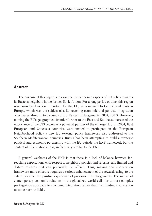#### **Abstract**

The purpose of this paper is to examine the economic aspects of EU policy towards its Eastern neighbors in the former Soviet Union. For a long period of time, this region was considered as less important for the EU, as compared to Central and Eastern Europe, which was the subject of a far-reaching economic and political integration offer materialized in two rounds of EU Eastern Enlargements (2004, 2007). However, moving the EU's geographical frontier further to the East and Southeast increased the importance of the CIS region as a potential partner of the enlarged EU. In 2004, East European and Caucasus countries were invited to participate in the European Neighborhood Policy a new EU external policy framework also addressed to the Southern Mediterranean countries. Russia has been attempting to build a strategic political and economic partnership with the EU outside the ENP framework but the content of this relationship is, in fact, very similar to the ENP.

A general weakness of the ENP is that there is a lack of balance between farreaching expectations with respect to neighbors' policies and reforms, and limited and distant rewards that can potentially be offered. Thus, making this cooperation framework more effective requires a serious enhancement of the rewards using, to the extent possible, the positive experience of previous EU enlargements. The nature of contemporary economic relations in the globalized world calls for a more complex package-type approach to economic integration rather than just limiting cooperation to some narrow fields.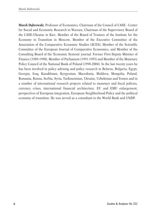**Marek Dąbrowski**, Professor of Economics, Chairman of the Council of CASE - Center for Social and Economic Research in Warsaw, Chairman of the Supervisory Board of the CASE-Ukraine in Kiev, Member of the Board of Trustees of the Institute for the Economy in Transition in Moscow, Member of the Executive Committee of the Association of the Comparative Economic Studies (ACES), Member of the Scientific Committee of the European Journal of Comparative Economics, and Member of the Consulting Board of the 'Economic Systems' journal. Former First Deputy Minister of Finance (1989-1990), Member of Parliament (1991-1993) and Member of the Monetary Policy Council of the National Bank of Poland (1998-2004). In the last twenty years he has been involved in policy advising and policy research in Belarus, Bulgaria, Egypt, Georgia, Iraq, Kazakhstan, Kyrgyzstan, Macedonia, Moldova, Mongolia, Poland, Romania, Russia, Serbia, Syria, Turkmenistan, Ukraine, Uzbekistan and Yemen and in a number of international research projects related to monetary and fiscal policies, currency crises, international financial architecture, EU and EMU enlargement, perspectives of European integration, European Neighborhood Policy and the political economy of transition. He was served as a consultant to the World Bank and UNDP.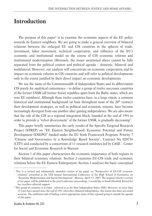#### **Introduction**

The purpose of this paper<sup>1</sup> is to examine the economic aspects of the EU policy towards its Eastern neighbors. We are going to make a general overview of bilateral relations between the enlarged EU and CIS countries in the spheres of trade, investment, labor movement, technical cooperation, and influence of the EU's economic and institutional model on the course of CIS economic reforms and institutional modernization. Obviously, the issues mentioned above cannot be fully separated from the political context and political agenda – domestic, bilateral and multilateral. However, our analysis will concentrate on economic cooperation and its impact on economic reforms in CIS countries and will refer to political developments only to the extent justified by their direct impact on economic developments.

We use the name of the Commonwealth of Independent States and its abbreviation CIS purely for analytical convenience – to define a group of twelve successor countries of the former USSR (all former Soviet republics apart from the Baltic states, which are now EU members). Although these twelve countries have, to a large extent, a common historical and institutional background (at least throughout most of the 20<sup>th</sup> century) their development strategies, as well as political and economic systems, have become increasingly divergent from one another after gaining independence. We are also aware that the role of the CIS as a regional integration block, founded at the end of 1991 in order to provide a "velvet divorcement" of the former USSR, is gradually decreasing<sup>2</sup>.

This paper briefly summarizes the early results of the Specific Targeted Research Project (STREP) on "EU Eastern Neighborhood: Economic Potential and Future Development (ENEPO)" funded under the EU Sixth Framework Program, Priority 7 "Citizens and Governance in a Knowledge Based Society", Contract No 028736 (CIT5) and conducted by a consortium of 11 research institutes led by CASE – Center for Social and Economic Research in Warsaw.

Section 1 of this paper characterizes the economic importance of both regions in their bilateral economic relations. Section 2 examines EU-CIS trade and economic relations before the EU Eastern Enlargement. Section 3 analyses the basic conceptual

<sup>&</sup>lt;sup>1</sup> This is a revised and substantially amended version of my paper on "Perspectives of EU-CIS economic relations" presented at the VIII Annual International Conference of the High School of Economics on "Economic Modernization and Social Development", Moscow, April 3-5, 2007. The original (shorter) version of my paper will be published in the post-Conference proceedings. I would like to thank Elizabeth Rivard for her excellent editorial support.

<sup>&</sup>lt;sup>2</sup> This group of countries is at times referred to as the New Independent States (NIS). However, as more than 15 years have passed since the end of 1991 when they obtained independence, this notion also does not sound accurate. The ambitious task of finding a more appropriate name of this regional group is outside the agenda of this paper.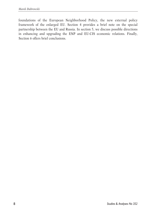foundations of the European Neighborhood Policy, the new external policy framework of the enlarged EU. Section 4 provides a brief note on the special partnership between the EU and Russia. In section 5, we discuss possible directions in enhancing and upgrading the ENP and EU-CIS economic relations. Finally, Section 6 offers brief conclusions.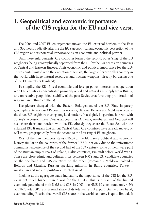#### **1. Geopolitical and economic importance of the CIS region for the EU and vice versa**

The 2004 and 2007 EU enlargements moved the EU external borders to the East and Southeast, radically altering the EU's geopolitical and economic perception of the CIS region and its potential importance as an economic and political partner.

Until these enlargements, CIS countries formed the second, outer 'ring' of the EU neighbors, being geographically separated from the EU by the EU accession countries of Central and Eastern Europe. Their economic and political importance for the EU-15 was quite limited with the exception of Russia, the largest (territorially) country in the world with huge natural resources and nuclear weapons, directly bordering one of the EU members (Finland).

To simplify, the EU-15 real economic and foreign policy interests in cooperation with CIS countries concentrated primarily on oil and natural gas supply from Russia, and on relative geopolitical stability of the post-Soviet area (avoiding proliferation of regional and ethnic conflicts).

The picture changed with the Eastern Enlargement of the EU. First, in purely geographical terms four CIS countries – Russia, Ukraine, Belarus and Moldova – became the direct EU neighbors sharing long land borders. In a slightly longer time horizon, with Turkey's accession, three Caucasian countries (Armenia, Azerbaijan and Georgia) will also share their land borders with the EU. Already they share the Black Sea with the enlarged EU. It means that all but Central Asian CIS countries have already moved, or will move, geographically from the second to the first ring of EU neighbors.

Most of the new members states (NMS) of the EU have a political and economic history similar to the countries of the former USSR, not only due to the unfortunate communist experience of the second half of the  $20<sup>th</sup>$  century; some of them were part of the Russian empire (part of Poland, Baltic countries, Finland) before World War I. There are close ethnic and cultural links between NMS and EU candidate countries on the one hand and CIS countries on the other (Romania – Moldova, Poland – Belarus and Ukraine, Russian speaking minority in Baltic countries, Turkey – Azerbaijan and most of post-Soviet Central Asia).

Looking at the aggregate trade indicators, the importance of the CIS for the EU-27 is not much higher than it was for the EU-15. This is a result of the limited economic potential of both NMS and CIS. In 2003, the NMS-10 constituted only 4.7% of EU-25 total GDP and a small share of its total extra-EU export. On the other hand, even including Russia, the overall CIS share in the world economy is quite limited. It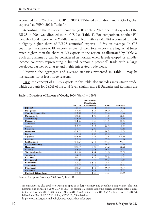accounted for 3.7% of world GDP in 2003 (PPP-based estimation) and 2.3% of global exports (see WEO, 2004; Table A).

According to the European Economy (2005) only 2.2% of the total exports of the EU-25 in 2004 was directed to the CIS (see **Table 1**). For comparison, another EU 'neighborhood' region – the Middle East and North Africa (MENA) accounted for only a slightly higher share of EU-25 countries' exports – 3.8% on average. In CIS countries the shares of EU exports as part of their total exports are higher, at times much higher, than the share of EU exports to the region, as illustrated by **Table 2**. Such an asymmetry can be considered as normal when less-developed or middleincome countries representing a limited economic potential<sup>3</sup> trade with a large developed partner or a large and highly integrated trade block.

However, the aggregate and average statistics presented in **Table 1** may be misleading, for at least three reasons.

First, the concept of EU-25 exports in this table also includes intra-Union trade, which accounts for 68.3% of the total (even slightly more if Bulgaria and Romania are

|                       |       | Acce ding/<br>Candidate |      |      |
|-----------------------|-------|-------------------------|------|------|
|                       | EU-25 | <b>Countries</b>        | CIS  | MENA |
| EU-25                 | 68.3  | 2.4                     | 2.2  | 3.8  |
| Belgium               | 77.8  | 13                      | 0.9  | 3.1  |
| <b>Czech Republic</b> | 83.8  | 3.0                     | 2.4  | 1.6  |
| Denmark               | 68.5  | 1.0                     | 18   | 2.5  |
| Germany               | 64.6  | 2.7                     | 2.8  | 3.0  |
| Estonia               | 74.6  | 0.6                     | 11.5 | 0.5  |
| Greece                | 60.1  | 15.6                    | 3.3  | 7.0  |
| Spain                 | 75.2  | 2.5                     | 0.9  | 5.2  |
| France                | 67.1  | 2.0                     | 1.4  | 6.8  |
| Ireland               | 63.2  | 0.5                     | 0.3  | 1.3  |
| <b>Italy</b>          | 60.4  | 4.8                     | 2.6  | 6.3  |
| Cyprus                | 64.9  | 2.8                     | 2.8  | 17.6 |
| Latvia                | 75.9  | O <sub>1</sub>          | 78   | 1.0  |
| Lithuania             | 61.3  | 2.1                     | 15.2 | 0.1  |
| Luxembourg            | 90.4  | 0.7                     | 0.8  | 1.0  |
| Hungary               | 80.7  | 6.0                     | 3.2  | 2.2  |
| Malta                 | 44.5  | 2.4                     | 0.1  | 5.2  |
| <b>Netherlands</b>    | 81.0  | 1.4                     | 1.6  | 2.3  |
| Austria               | 72.4  | 4.2                     | 2.4  | 1.8  |
| Poland                | 79.1  | 3.1                     | 79   | 1.2  |
| Portugal              | 80.8  | $O$ $Q$                 | 0.3  | 1.8  |
| Slovenia              | 73.3  | 11.1                    | 5.1  | 2.1  |
| Slovakia              | 85.7  | 2.9                     | 2.8  | 0.5  |
| Finland               | 58.3  | 1.1                     | 9.9  | 4.7  |
| <b>Sweden</b>         | 59.1  | 1.3                     | 2.1  | 3.2  |
| United Kingdom        | 57.0  | 1.6                     | 1.3  | 5.0  |

**Table 1. Directions of Exports of Goods, 2004, World = 100%**

Source: European Economy 2005, No. 5, Table 57

<sup>&</sup>lt;sup>3</sup> This characteristic also applies to Russia in spite of its large territory and geopolitical importance. The total nominal size of Russia's 2005 GDP of USD 763 billion (calculated using the current exchange rate) is close to that of Australia (USD 709 billion), Mexico (USD 768 billion), India (USD 772 billion), Korea (USD 778 billion) and Brazil (USD 796 billion) - WEO 09\_2006 database http://www.imf.org/external/pubs/ft/weo/2006/02/data/index.aspx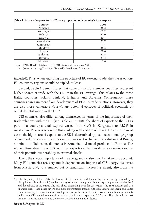| Country        | 2004 |
|----------------|------|
| Armenia        | 38.2 |
| Azerbaijan     | 65.2 |
| <b>Belarus</b> | 37.0 |
| Georgia        | 30.1 |
| Kazakhstan     | 31.7 |
| Kyrgyzstan     | 4.9  |
| Moldova        | 38.3 |
| Russia         | 50.4 |
| Tajikistan     | 32.4 |
| Ukraine        | 27.4 |
| Uzbekistan     | 17.4 |

**Table 2. Share of exports to EU-25 as a proportion of a country's total exports**

Source: ENEPO WP1 database; UNCTAD Statistical Handbook 2005.

http://stats.unctad.org/Handbook/ReportFolders/ReportFolders.aspx

included). Thus, when analyzing the structure of EU external trade, the shares of non-EU countries/ regions should be tripled, at least.

Second, **Table 1** demonstrates that some of the EU member countries represent higher shares of trade with the CIS than the EU average. This relates to the three Baltic countries, Poland, Finland, Bulgaria and Slovenia. Consequently, these countries can gain more from development of EU-CIS trade relations. However, they are also more vulnerable *vis a vis* any potential episodes of political, economic or social destabilization in the CIS<sup>4</sup>.

CIS countries also differ among themselves in terms of the importance of their trade relations with the EU (see **Table 2**). In 2004, the share of exports to the EU as part of a country's total exports varied from 4.9% in Kyrgyzstan to 65.2% in Azerbaijan. Russia is second in this ranking with a share of 50.4%. However, in most cases, the high share of exports to the EU is determined by just one commodity/ group of commodities: energy resources in the cases of Azerbaijan, Kazakhstan and Russia, aluminum in Tajikistan, diamonds in Armenia, and metal products in Ukraine. The monoculture structure of CIS countries' exports can be considered as a serious source of their potential vulnerability to external shocks.

Third, the special importance of the energy sector also must be taken into account. Many EU countries are very much dependent on imports of CIS energy resources from Russia and, to a smaller but systematically increasing extent, also from the

<sup>4</sup> At the beginning of the 1990s, the former CMEA countries and Finland had been heavily affected by a disruption of this trade block (based on inter-government trade protocols and a special payment mechanism) and the collapse of the USRR. The next shock originating from the CIS region - the 1998 Russian and CIS financial crisis – had a less severe and more differentiated impact. Although Central European and Baltic countries managed to avoid a direct contagion effect with respect to their currencies and financial markets (unlike most CIS countries), some of them suffered substantial export and GDP losses. This relates, in the first instance, to Baltic countries and (to lesser extent) to Poland and Bulgaria.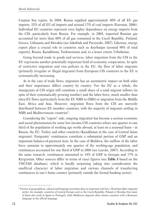Caspian Sea region. In 2004, Russia supplied approximately 40% of all EU gas imports, 32% of all EU oil imports and around 17% of coal imports (Eurostat, 2006). Individual EU countries represent even higher dependence on energy imports from the CIS, particularly from Russia. For example, in 2004, imported Russian gas accounted for more than 80% of all gas consumed in the Czech Republic, Finland, Greece, Lithuania and Slovakia (see Jakubiak and Paczynski, 2007). Likewise, energy export plays a crucial role in countries such as Azerbaijan (around 90% of total exports), Russia, Kazakhstan, Turkmenistan and, to a lesser extent, Uzbekistan.

Going beyond trade in goods and services, labor migration from the CIS to the EU represents another potentially important field of economic cooperation. In spite of restrictive migration and visa policies in the EU, the flow of labor migrants (primarily irregular or illegal migrants) from European CIS countries to the EU is systematically increasing.

As in the case of trade flows, migration has an asymmetric impact on both sides and their importance differs country by country. For the EU as a whole, the immigrants of CIS origin still constitute a small share of a total migrant inflows (in spite of their systematically growing number) and the labor force, much smaller than intra-EU flows (particularly from the EU NMS to OMS) or migration from the Middle East, Africa and Asia. However, migration flows from the CIS are unevenly distributed between EU member countries, with the majority of migrants settling in NMS and Mediterranean countries<sup>5</sup>.

Considering the "export" side, outgoing migration has become a serious economic and social phenomenon for some low-income CIS countries where one quarter to one third of the population of working age works abroad, at least on a seasonal basis – in Russia, the EU, Turkey and other countries (Kazakhstan in the case of Central Asian migrants). Emigrants' remittances constitute a substantial portion of GNP and an important balance-of-payment item. In the case of Moldova, the outflow of the labor force amounts to approximately one quarter of the working-age population, and remittances accounted for one third of GNP in 2006 (see Luecke, 2007). According to the same research, remittances amounted to 14% of GNP in Georgia and 17% in Kyrgyzstan. Other sources differ in terms of exact figures (see **Table 3** based on the UNCTAD database), which is hardly surprising taking into consideration the unofficial character of labor migration and various channels of transferring remittances to one's home country (primarily outside the formal banking sector).

<sup>5</sup> Factors of geographical, cultural and language proximity play an important role here. Ukrainian labor migrants prefer, for example, countries of Central Europe such as the Czech Republic, Poland or Slovakia (but many of them also work in Spain or Portugal), while Moldovan migrants often choose countries with a Romance language as the official language.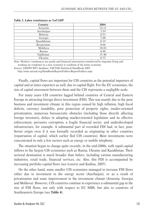| Country    | 2004  |
|------------|-------|
| Armenia    | 14.11 |
| Azerbaijan | 3.59  |
| Belarus    | 0.53  |
| Georgia    | 7.08  |
| Kazakhstan | 0.19  |
| Kyrgyzstan | 8.66  |
| Moldova    | 38.83 |
| Russia     | 0.48  |
| Tajikistan | 15.40 |
| Ukraine    | 0.75  |

**Table 3. Labor remittances as %of GDP**

Note: Workers' remittances are goods and financial instruments transferred by migrants living and working (as residents) in a new economy to residents of the home economy.

Source: ENEPO WP1 database; UNCTAD Statistical Handbook 2005.

http://stats.unctad.org/Handbook/ReportFolders/ReportFolders.aspx

Finally, capital flows are important for CIS countries as the potential importers of capital and at times exporters as well, due to capital flight. For the EU economies, the size of capital movement between them and the CIS represents a negligible scale.

For many years CIS countries lagged behind countries of Central and Eastern Europe in attracting foreign direct investment (FDI). This was mainly due to the poor business and investment climate in this region caused by high inflation, high fiscal deficits, currency instability, poor protection of property rights, insider-oriented privatization, numerous bureaucratic obstacles (including those directly affecting foreign investors), delays in adopting market-oriented legislation and its effective enforcement, pervasive corruption, a fragile financial sector, and underdeveloped infrastructure, for example. A substantial part of recorded FDI had, in fact, post-Soviet origin even if it was formally recorded as originating in other countries (repatriation of capital, which earlier fled CIS countries). Most investments were concentrated in only a few sectors such as energy or mobile telephony.

The situation began to change quite recently, in the mid-2000s, with rapid capital inflows to the largest CIS economies such as Russia, Ukraine and Kazakhstan. Their sectoral destination is much broader than before, including various manufacturing industries, retail trade, financial services, etc. Also, this FDI is accompanied by increasing portfolio capital flows (see Lozovyi and Kudina, 2007).

On the other hand, some smaller CIS economies managed to increase FDI flows either due to investment in the energy sector (Azerbaijan), or as a result of privatization and some improvement in the investment climate (Armenia, Georgia and Moldova). However, CIS countries continue to experience a substantial gap in the size of FDI flows, not only with respect to EU NMS, but also to countries of Southeastern Europe (see **Table 4**).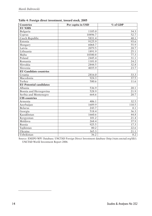| <b>Countries</b>               | Per capita in USD | % of GDP |
|--------------------------------|-------------------|----------|
| <b>EU NMS</b>                  |                   |          |
| Bulgaria                       | 1185.0            | 34.3     |
| Cyprus                         | 10496.7           | 52.7     |
| Czech Republic                 | 5831.4            | 48.1     |
| Estonia                        | 9125.9            | 93.6     |
| Hungary                        | 6068.7            | 55.9     |
| Latvia                         | 2079.5            | 28.7     |
| Lithuania                      | 1891.9            | 25.1     |
| Malta                          | 10380.8           | 77.3     |
| Poland                         | 2445.4            | 31.1     |
| Romania                        | 1101.0            | 24.2     |
| Slovakia                       | 2844.5            | 32.8     |
| Slovenia                       | 4035.9            | 23.7     |
| <b>EU Candidate countries</b>  |                   |          |
| Croatia                        | 2816.0            | 33.3     |
| Macedonia                      | 924.3             | 37.5     |
| Turkey                         | 580.6             | 11.6     |
| <b>EU Potential candidates</b> |                   |          |
| Albania                        | 536.9             | 20.1     |
| Bosnia and Herzegovina         | 528.9             | 21.9     |
| Serbia and Montenegro          | 664.6             | 20.7     |
| <b>CIS</b> countries           |                   |          |
| Armenia                        | 406.1             | 32.5     |
| Azerbaijan                     | 1689.9            | 110.5    |
| <b>Belarus</b>                 | 243.7             | 8.1      |
| Georgia                        | 518.4             | 36.3     |
| Kazakhstan                     | 1660.6            | 44.8     |
| Kyrgyzstan                     | 101.2             | 21.4     |
| Moldova                        | 268.4             | 37.9     |
| Russia                         | 925.5             | 17.3     |
| Tajikistan                     | 80.2              | 22.6     |
| Ukraine                        | 365.3             | 21.1     |
| Uzbekistan                     | 36.2              | 8.2      |

**Table 4: Foreign direct investment, inward stock, 2005**

Source: ENEPO WP1 Database; UNCTAD Foreign Direct Investment database (http://stats.unctad.org/fdi/); UNCTAD World Investment Report 2006.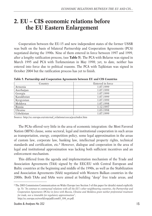### **2. EU – CIS economic relations before the EU Eastern Enlargement**

Cooperation between the EU-15 and new independent states of the former USSR was built on the basis of bilateral Partnership and Cooperation Agreements (PCA) negotiated during the 1990s. Nine of them entered in force between 1997 and 1999, after a lengthy ratification process, (see **Table 5**). The PCA with Belarus was signed in March 1995 and PCA with Turkmenistan in May 1998; yet, to date, neither has entered into force due to political reasons. The PCA with Tajikistan was signed in October 2004 but the ratification process has yet to finish.

| Country    | Entered in force |
|------------|------------------|
| Armenia    | 1.07.1999        |
| Azerbaijan | 1.07.1999        |
| Georgia    | 1.07.1999        |
| Kazakhstan | 1.07.1999        |
| Kyrgyzstan | 1.07.1999        |
| Moldova    | 1.07.1998        |
| Russia     | 1.12.1997        |
| Ukraine    | 1.03.1998        |
| Uzbekistan | 1.07.1999        |

**Table 5. Partnership and Cooperation Agreements between EU and CIS Countries**

Source: http://ec.europa.eu/external\_relations/ceeca/pca/index.htm

The PCAs offered very little in the area of economic integration: the Most Favored Nation (MFN) clause, some sectoral, legal and institutional cooperation in such areas as transportation, energy, competition policy, some legal approximation in the areas of custom law, corporate law, banking law, intellectual property rights, technical standards and certification, etc.<sup>6</sup> However, dialogue and cooperation in the area of legal and institutional approximation was lacking both sufficient incentives and an enforcement mechanism.

This differed from the agenda and implementation mechanism of the Trade and Association Agreements (TAA) signed by the EEC/EU with Central European and Baltic countries at the beginning and middle of the 1990s, as well as the Stabilization and Association Agreements (SAA) negotiated with Western Balkan countries in the 2000s. Both TAAs and SAAs were aimed at building "deep" free trade areas, and

<sup>6</sup> The 2003 Commission Communication on Wider Europe (see Section 3 of this paper for details) stated explicitly (p. 5): "*In contrast to contractual relations with all the EU's other neighbouring countries, the Partnership and Cooperation Agreements (PCAs) in force with Russia, Ukraine and Moldova grant neither preferential treatment for trade, nor a timetable for regulatory approximation*",

http://ec.europa.eu/world/enp/pdf/com03\_104\_en.pdf.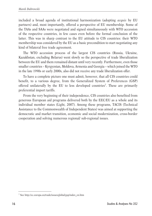included a broad agenda of institutional harmonization (adopting *acquis* by EU partners) and, most importantly, offered a perspective of EU membership. Some of the TAAs and SAAs were negotiated and signed simultaneously with WTO accession of the respective countries, in few cases even before the formal conclusion of the latter. This was in sharp contrast to the EU attitude to CIS countries: their WTO membership was considered by the EU as a basic precondition to start negotiating any kind of bilateral free trade agreement.

The WTO accession process of the largest CIS countries (Russia, Ukraine, Kazakhstan, excluding Belarus) went slowly so the perspective of trade liberalization between the EU and them remained distant until very recently. Furthermore, even those smaller countries – Kyrgyzstan, Moldova, Armenia and Georgia – which joined the WTO in the late 1990s or early 2000s, also did not receive any trade liberalization offer.

To have a complete picture one must admit, however, that all CIS countries could benefit, to a various degree, from the Generalized System of Preferences (GSP) offered unilaterally by the EU to less developed countries7. These are primarily preferential import tariffs.

From the very beginning of their independence, CIS countries also benefited from generous European aid programs delivered both by the EEC/EU as a whole and its individual member states (Light, 2007). Among these programs, TACIS (Technical Assistance to the Commonwealth of Independent States) was aimed at supporting the democratic and market transition, economic and social modernization, cross-border cooperation and solving numerous regional/ sub-regional issues.

<sup>7</sup> See http://ec.europa.eu/trade/issues/global/gsp/index\_en.htm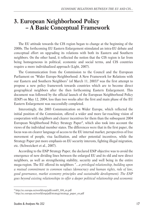#### **3. European Neighborhood Policy – A Basic Conceptual Framework**

The EU attitude towards the CIS region began to change at the beginning of the 2000s. The forthcoming EU Eastern Enlargement stimulated an intra-EU debate and conceptual effort on upgrading its relations with both its Eastern and Southern neighbors. On the other hand, it reflected the notion that the CIS region is far from being homogeneous in political, economic and social terms, and CIS countries require a more individualized approach (Light, 2007).

The Communication from the Commission to the Council and the European Parliament on "Wider Europe-Neighborhood: A New Framework for Relations with our Eastern and Southern Neighbors" (of March 11, 2003)<sup>8</sup> was the first attempt to propose a new policy framework towards countries which are to become direct geographical neighbors after the then forthcoming Eastern Enlargement. This document was followed by the official launch of the European Neighborhood Policy (ENP) on May 12, 2004, less than two weeks after the first and main phase of the EU Eastern Enlargement was successfully completed.

Interestingly, the 2003 Communication on Wider Europe, which reflected the initial position of the Commission, offered a wider and more far-reaching vision of cooperation with neighbors and clearer incentives for them than the subsequent 2004 European Neighborhood Policy Strategy Paper9, which also took into account the views of the individual member states. The differences were that in the first paper, the focus was on clearer language of access to the EU internal market, perspectives of free movement of people, visa facilitation, and other potential incentives, while the Strategy Paper put more emphasis on EU security interests, fighting illegal migration, etc. (Schweickert et al., 2007).

According to the ENP Strategy Paper, the declared ENP objective was to avoid the emergence of new dividing lines between the enlarged EU and its old and new direct neighbors, as well as strengthening stability, security and well being in the entire mega-region. The EU offered its neighbors "…*a privileged relationship, building upon a mutual commitment to common values (democracy and human rights, rule of law, good governance, market economy principles and sustainable development). The ENP goes beyond existing relationships to offer a deeper political relationship and economic*

<sup>8</sup> http://ec.europa.eu/world/enp/pdf/com03\_104\_en.pdf

<sup>&</sup>lt;sup>9</sup> http://ec.europa.eu/world/enp/pdf/strategy/strategy\_paper\_en.pdf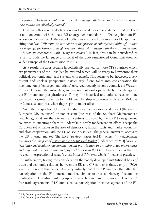*integration. The level of ambition of the relationship will depend on the extent to which these values are effectively shared*"10.

Originally this general declaration was followed by a clear statement that the ENP is not concerned with the next EU enlargements nor does it offer neighbors an EU accession perspective. At the end of 2006 it was replaced by a more flexible approach citing that "*the ENP remains distinct from the process of enlargement although it does not prejudge, for European neighbors, how their relationship with the EU may develop in future, in accordance with Treaty provisions.*" In fact, this can be considered as return to both the language and spirit of the above-mentioned Communication on Wider Europe of the Commission in 2003.

As a result, the door became hypothetically opened for those CIS countries which are participants of the ENP (see below) and which will be ready to harmonize their political, economic and legal systems with *acquis*. This seems to be, however, a very distant and unclear perspective, particularly if one takes into consideration the phenomenon of "enlargement fatigue" observed recently in some countries of Western Europe. Although the anti-enlargement sentiment works particularly strongly against the EU membership aspirations of Turkey (for historical and cultural reasons), one can expect a similar reaction to the EU membership aspirations of Ukraine, Moldova or Caucasus countries when they begin to materialize.

So, if the perspective of EU membership is either very weak and distant (the case of European CIS countries) or non-existent (the case of the Southern Mediterranean neighbors), what are the alternative incentives provided by the ENP to neighboring countries to encourage them to undertake a costly modernization effort, accept the European set of values in the area of democracy, human rights and market economy, and close cooperation with the EU on security issues? The general answer is: access to the EU internal market. The ENP Strategy Paper (p.14)11 offers "... *neighbouring countries the prospect of a stake in the EU Internal Market* [underlined by MD] *based on legislative and regulatory approximation, the participation in a number of EU programmes and improved interconnection and physical links with the EU*". However, so far there is no clear interpretation of what "*a stake in the EU Internal Market*" means in practice.

Furthermore, taking into consideration the poorly developed institutional basis of trade and economic relations between the EU and CIS countries (based only on PCAs – see Section 2 of this paper), it is very unlikely that the ENP can offer the latter full participation in the EU internal market, similar to that of Norway, Iceland or Switzerland. A gradual building up of these relations based on more or less "deep" free trade agreements (FTA) and selective participation in some segments of the EU

<sup>10</sup> http://ec.europa.eu/world/enp/policy\_en.htm

<sup>&</sup>lt;sup>11</sup> http://ec.europa.eu/world/enp/pdf/strategy/strategy\_paper\_en.pdf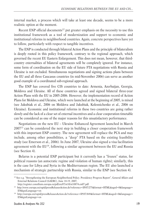internal market, a process which will take at least one decade, seems to be a more realistic option at the moment.

Recent ENP official documents<sup>12</sup> put greater emphasis on the necessity to use this institutional framework as a tool of modernization and support to economic and institutional reforms in neighborhood countries. Again, concrete perspectives have yet to follow, particularly with respect to tangible incentives.

The ENP is conducted through bilateral Action Plans and the principle of bilateralism is deeply rooted in this policy framework, contrary to the regional approach, which governed the recent EU Eastern Enlargement. This does not mean, however, that thirdcountry externalities of bilateral agreements will be completely ignored. For instance, some form of coordination on the EU side of future FTA negotiations with Russia and Ukraine is not excluded. Simultaneous negotiations and signing actions plans between the EU and all three Caucasus countries (in mid-November 2006) can serve as another good example of a coordinated sub-regional approach.

The ENP has covered five CIS countries to date: Armenia, Azerbaijan, Georgia, Moldova and Ukraine. All of these countries agreed and signed bilateral three-year Action Plans with the EU in 2005-2006. However, the implementation record of Action Plans for Moldova and Ukraine, which were launched at the beginning of 2005, is mixed (see Jakubiak et al., 2006 on Moldova and Jakubiak, Kolesnichenko et al., 2006 on Ukraine). Economic and institutional reforms in these two countries are going rather slowly and the lack of a clear set of external incentives and a clear cooperation timetable can be considered as one of the major reasons for this unsatisfactory performance.

Negotiations on the new EU – Ukraine Enhanced Agreement launched in March 2007<sup>13</sup> can be considered the next step in building a closer cooperation framework with this important ENP country. The new agreement will replace the PCA and may include, among other possibilities, a "deep" FTA based on the existing feasibility study (see Emerson et al., 2006). In June 2007, Ukraine also signed a visa facilitation agreement with the EU<sup>14</sup>, following a similar agreement between the EU and Russia (see Section 4).

Belarus is a potential ENP participant but it currently has a "frozen" status, for political reasons (an autocratic regime and violation of human rights); similarly, this is the case for Libya and Syria in the Mediterranean region. The EU also launched a mechanism of strategic partnership with Russia, similar to the ENP (see Section 4).

<sup>12</sup> See e.g. "Strengthening the European Neighborhood Policy. Presidency Progress Report", General Affairs and External Relations Council (GAERC), June 18-19, 2007,

http://register.consilium.europa.eu/pdf/en/07/st10/st10874.en07.pdf

<sup>13</sup> http://www.europa.eu/rapid/pressReleasesAction.do?reference=IP/07/275&format=HTML&aged=0&language= EN&guiLanguage=en

<sup>14</sup> http://europa.eu/rapid/pressReleasesAction.do?reference=IP/07/849&format=HTML&aged=0&language= EN&guiLanguage=en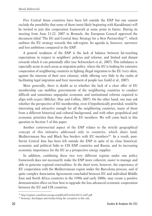Five Central Asian countries have been left outside the ENP but one cannot exclude the possibility that some of them (most likely beginning with Kazakhstan) will be invited to join this cooperation framework at some point in future. During its meeting from June 21-22, 2007 in Brussels, the European Council approved the document titled "The EU and Central Asia: Strategy for a New Partnership"15, which outlines the EU strategy towards this sub-region. Its agenda is, however, narrower and less ambitious compared to the ENP.

A general weakness of the ENP is the lack of balance between far-reaching expectations in respect to neighbors' policies and reforms, and limited and distant rewards which it can potentially offer (see Schweickert et al., 2007). This imbalance is especially acute in such areas as migration policy, where the EU is looking for extensive cooperation of neighboring countries in fighting illegal migration to the EU (very often, against the interests of their own citizens), while offering very little in the realm of facilitating legal migration and freer movement of people (see Guild et al., 2007).

More generally, there is doubt as to whether the lack of a clear offer of EU membership can mobilize governments of the neighboring countries to conduct difficult and sometimes unpopular economic and institutional reforms required to align with *acquis* (Milcher, Slay and Collins, 2007). On the other hand, one may ask whether the perspective of EU membership, even if hypothetically provided, would be interesting and attractive enough for all the neighboring countries, many of them from a different historical and cultural background, and with other geopolitical and economic priorities than those shared by EU members. We will come back to this question in Section 5 of this paper.

Another controversial aspect of the ENP relates to the strictly geographical concept of this initiative addressed only to countries, which share land, Mediterranean Sea and Black Sea borders with EU members<sup>16</sup>. As a result, post-Soviet Central Asia has been left outside the ENP in spite of its close historical, economic and political links to CIS ENP countries and Russia, and its increasing economic importance for the EU as a prospective energy supplier.

In addition, combining these two very different regions under one policy framework does not necessarily make the ENP more coherent, easier to manage and able to generate regional externalities. In the short term, however, the experience of EU cooperation with the Mediterranean region under the Barcelona process, and of quite complex Association Agreements concluded between EU and individual Middle East and North Africa countries in the 1990s and early 2000s, may create a positive demonstration effect on how best to upgrade the less advanced economic cooperation between the EU and CIS countries.

<sup>15</sup> http://register.consilium.europa.eu/pdf/en/07/st10/st10113.en07.pdf

<sup>16</sup> Armenia, Azerbaijan and Jordan being the exception to this rule.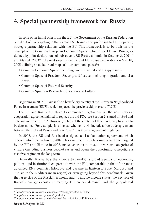### **4. Special partnership framework for Russia**

In spite of an initial offer from the EU, the Government of the Russian Federation opted out of participating in the formal ENP framework, preferring to have separate, strategic partnership relations with the EU. This framework is to be built on the concept of the Common European Economic Space between the EU and Russia, as defined by joint declarations of subsequent EU-Russia summits in October 3, 200117 and May 31, 2003<sup>18</sup>. The next step involved a joint EU-Russia declaration on May 10, 2005 defining so-called road maps of four common spaces $19$ :

- Common Economic Space (including environmental and energy issues)
- Common Space of Freedom, Security and Justice (including migration and visa issues)
- Common Space of External Security
- Common Space on Research, Education and Culture

Beginning in 2007, Russia is also a beneficiary country of the European Neighborhood Policy Instrument (ENPI), which replaced the previous aid program, TACIS.

The EU and Russia are about to commence negotiations on the new strategic cooperation agreement aimed to replace the old PCA (see Section 2) signed in 1994 and entering in force in 1997. However, details of the content of this new treaty have yet to be determined. For example, it is unclear whether it will include a free trade agreement between the EU and Russia and how "deep" this type of agreement might be.

In 2006, the EU and Russia also signed a visa facilitation agreement, which entered into force on June 1, 2007. This agreement, which is similar to the one signed by the EU and Ukraine in 2007, makes short-term travel for various categories of visitors (including business people) easier and opens the opportunity to negotiate a visa free regime in the long term.

Generally, Russia has the chance to develop a broad agenda of economic, political and institutional cooperation with the EU, comparable to that of the most advanced ENP countries (Moldova and Ukraine in Eastern Europe; Morocco and Tunisia in the Mediterranean region) or even going beyond this benchmark. Given the large size of the Russian economy and its middle income status, the key role of Russia's energy exports in meeting EU energy demand, and the geopolitical

<sup>17</sup> http://www.delrus.ec.europa.eu/en/images/pText\_pict/238/sum41.doc

<sup>18</sup> http://www.delrus.ec.europa.eu/en/p\_234.htm

<sup>19</sup> http://www.delrus.ec.europa.eu/en/images/pText\_pict/494/road%20maps.pdf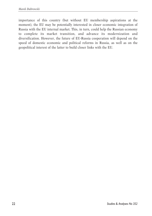importance of this country (but without EU membership aspirations at the moment), the EU may be potentially interested in closer economic integration of Russia with the EU internal market. This, in turn, could help the Russian economy to complete its market transition, and advance its modernization and diversification. However, the future of EU-Russia cooperation will depend on the speed of domestic economic and political reforms in Russia, as well as on the geopolitical interest of the latter to build closer links with the EU.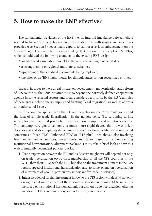#### **5. How to make the ENP effective?**

The fundamental weakness of the ENP, i.e. its internal imbalance between effort needed to harmonize neighboring countries institutions with *acquis* and incentives provided (see Section 3), leads many experts to call for a serious enhancement on the "reward" side. For example, Emerson et al. (2007) propose the concept of ENP Plus, which should add the following elements to the existing ENP design:

- an advanced association model for the able and willing partner states,
- a strengthening of regional-multilateral schemes,
- upgrading of the standard instruments being deployed,
- the offer of an 'ENP light' model for difficult states or non-recognized entities.

Indeed, in order to have a real impact on development, modernization and reform of CIS countries, the ENP initiative must go beyond the narrowly defined cooperation agenda in some selected sectors and areas considered a priority by the EU (examples of these areas include energy supply and fighting illegal migration), as well as address a broader set of issues.

In the economic sphere, both the EU and neighboring countries must go beyond the idea of simple trade liberalization in the narrow sense (i.e. scrapping tariffs, mostly for manufactured products) towards a more complex and ambitious agenda. The contemporary global economy is much more sophisticated than it was a few decades ago and its complexity determines the need for broader liberalization (called sometimes a "deep FTA", "enhanced FTA" or "FTA plus" – see above), also involving freer movement of services, investments and labor based on a far-reaching institutional harmonization/ alignment package. Let us take a brief look at how this web of mutually dependent policies works:

- 1. Trade expansion between the EU and its Eastern neighbors will depend not only on trade liberalization *per se* (first membership of all the CIS countries in the WTO, then their FTAs with the EU), but also on the investment climate in the CIS region, speed of institutional harmonization and, to some extent, on liberalization of movement of people (particularly important for trade in services).
- 2. Intensification of foreign investment inflow to the CIS region will depend not only on significant improvement of their domestic investment climate (determined by the speed of institutional harmonization), but also on trade liberalization, offering investors in CIS economies easy access to European markets.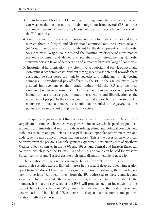- 3. Intensification of trade and FDI and the resulting diminishing of the income gap can weaken the income motive of labor migration from several CIS countries and make freer movement of people less politically and socially controversial in the EU countries.
- 4. Free movement of people is important not only for balancing national labor markets (both in "origin" and "destination" countries) and the current account (in "origin" countries). It is also significant for the development of the domestic SME sector in "origin' countries and the learning experience of more mature market economies and democratic societies, thus, strengthening domestic constituencies in favor of democratic and market reforms (in "origin" countries).
- 5. Institutional harmonization very often involves substantial social, political and (sometimes) economic costs. Without strong incentives/ potential rewards these costs may be considered too high by societies and politicians in neighboring countries. The traditional pay-off offered by the EU to the CIS countries (very gradual improvement of their trade regime with the EU and technical assistance) seems to be insufficient. A stronger set of incentives should probably include at least a faster pace of trade liberalization and liberalization of the movement of people. In the case of countries that are explicitly interested in EU membership, such a perspective should not be ruled out *a priori,* as it is potentially an important and powerful incentive.

It is a quite recognizable fact that the perspective of EU membership (even if it is very distant in time) can become a very powerful incentive, which speeds up political, economic and institutional reforms, aids in solving ethnic and political conflicts, and mobilizes societies and politicians to accept the most unpopular reform measures and undertake the most difficult modernization efforts. This is the observation which can be drawn from the previous EU enlargement experience, particularly that of Northern Mediterranean countries in the 1970s and 1980s, and Central and Eastern European countries, which joined the EU in 2004 and 2007. The same can be said for Western Balkan countries and Turkey, despite their quite distant timetable of accession.

The situation of CIS countries seems to be less favorable in this respect. In most cases, their societies express limited interest in the idea of deep European integration apart from Moldova, Ukraine and Georgia. But, more importantly, there has been a lack of a serious "European offer" from the EU addressed to these countries and societies, which has made the pro-reform integration incentive unrealistic. At the moment, it is hard to say whether the ENP will provide such an incentive, but this cannot be totally ruled out. Very much will depend on the real interest and determination of individual CIS countries to deepen their economic and political relations with the enlarged EU.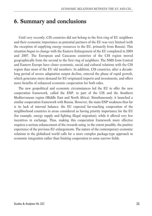#### **6. Summary and conclusions**

Until very recently, CIS countries did not belong to the first ring of EU neighbors and their economic importance as potential partners of the EU was very limited (with the exception of supplying energy resources to the EU, primarily from Russia). This situation began to change with the Eastern Enlargement of the EU completed in 2004 and 2007. The European and Caucasus countries of the CIS region moved geographically from the second to the first ring of neighbors. The NMS from Central and Eastern Europe have closer economic, social and cultural relations with the CIS region than most of the EU old members. In addition, CIS countries, after a decadelong period of severe adaptation output decline, entered the phase of rapid growth, which generates more demand for EU-originated imports and investments, and offers more benefits of enhanced economic cooperation for both sides.

The new geopolitical and economic circumstances led the EU to offer the new cooperation framework, called the ENP, to part of the CIS and the Southern Mediterranean region (Middle East and North Africa). Simultaneously, it launched a similar cooperation framework with Russia. However, the main ENP weakness thus far is its lack of internal balance: the EU expected far-reaching cooperation of the neighborhood countries in areas considered as having priority importance for the EU (for example, energy supply and fighting illegal migration), while it offered very few incentives in exchange. Thus, making this cooperation framework more effective requires a serious enhancement of the rewards using, to the extent possible, the positive experience of the previous EU enlargements. The nature of the contemporary economic relations in the globalized world calls for a more complex package-type approach to economic integration rather than limiting cooperation to some narrow fields.